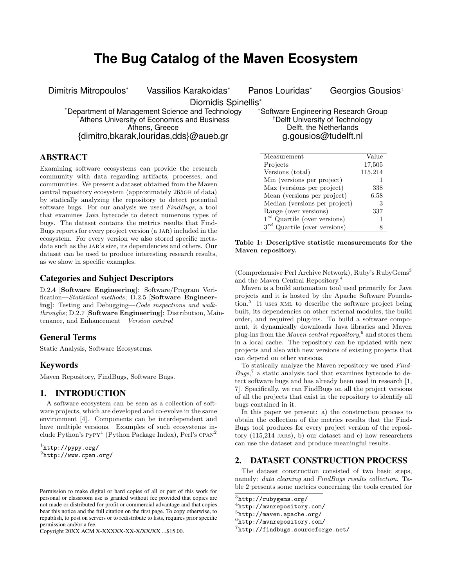# **The Bug Catalog of the Maven Ecosystem**

Dimitris Mitropoulos\* Vassilios Karakoidas\* Panos Louridas\* Georgios Gousios<sup>†</sup>

Diomidis Spinellis\*

\*Department of Management Science and Technology the Software Engineering Research Group<br>\*Athens University of Economics and Business the strath the Iniversity of Technology Athens University of Economics and Business<br>Athens. Greece {dimitro,bkarak,louridas,dds}@aueb.gr g.gousios@tudelft.nl

Delft, the Netherlands

# ABSTRACT

Examining software ecosystems can provide the research community with data regarding artifacts, processes, and communities. We present a dataset obtained from the Maven central repository ecosystem (approximately 265GB of data) by statically analyzing the repository to detect potential software bugs. For our analysis we used FindBugs, a tool that examines Java bytecode to detect numerous types of bugs. The dataset contains the metrics results that Find-Bugs reports for every project version (a JAR) included in the ecosystem. For every version we also stored specific metadata such as the JAR's size, its dependencies and others. Our dataset can be used to produce interesting research results, as we show in specific examples.

## Categories and Subject Descriptors

D.2.4 [Software Engineering]: Software/Program Verification—Statistical methods; D.2.5 [Software Engineering]: Testing and Debugging—Code inspections and walkthroughs; D.2.7 [Software Engineering]: Distribution, Maintenance, and Enhancement—Version control

## General Terms

Static Analysis, Software Ecosystems.

## Keywords

Maven Repository, FindBugs, Software Bugs.

#### 1. INTRODUCTION

A software ecosystem can be seen as a collection of software projects, which are developed and co-evolve in the same environment [4]. Components can be interdependent and have multiple versions. Examples of such ecosystems include Python's PyPY<sup>1</sup> (Python Package Index), Perl's CPAN<sup>2</sup>

Copyright 20XX ACM X-XXXXX-XX-X/XX/XX ...\$15.00.

Measurement Value Projects 17,505 Versions (total) 115,214 Min (versions per project) 1 Max (versions per project) 338 Mean (versions per project) 6.58 Median (versions per project) 3 Range (over versions) 337  $1^{st}$  Quartile (over versions) 1  $3^{rd}$  Quartile (over versions) 8

Table 1: Descriptive statistic measurements for the Maven repository.

(Comprehensive Perl Archive Network), Ruby's RubyGems<sup>3</sup> and the Maven Central Repository.<sup>4</sup>

Maven is a build automation tool used primarily for Java projects and it is hosted by the Apache Software Foundation.<sup>5</sup> It uses xml to describe the software project being built, its dependencies on other external modules, the build order, and required plug-ins. To build a software component, it dynamically downloads Java libraries and Maven plug-ins from the *Maven central repository*,<sup>6</sup> and stores them in a local cache. The repository can be updated with new projects and also with new versions of existing projects that can depend on other versions.

To statically analyze the Maven repository we used Find- $Bugs,^7$  a static analysis tool that examines bytecode to detect software bugs and has already been used in research [1, 7]. Specifically, we ran FindBugs on all the project versions of all the projects that exist in the repository to identify all bugs contained in it.

In this paper we present: a) the construction process to obtain the collection of the metrics results that the Find-Bugs tool produces for every project version of the repository  $(115,214 \text{ JARS})$ , b) our dataset and c) how researchers can use the dataset and produce meaningful results.

## 2. DATASET CONSTRUCTION PROCESS

The dataset construction consisted of two basic steps, namely: data cleaning and FindBugs results collection. Table 2 presents some metrics concerning the tools created for

<sup>1</sup> http://pypy.org/ 2 http://www.cpan.org/

Permission to make digital or hard copies of all or part of this work for personal or classroom use is granted without fee provided that copies are not made or distributed for profit or commercial advantage and that copies bear this notice and the full citation on the first page. To copy otherwise, to republish, to post on servers or to redistribute to lists, requires prior specific permission and/or a fee.

 $^3$ http://rubygems.org/

<sup>4</sup> http://mvnrepository.com/

<sup>5</sup> http://maven.apache.org/

<sup>6</sup> http://mvnrepository.com/

<sup>7</sup> http://findbugs.sourceforge.net/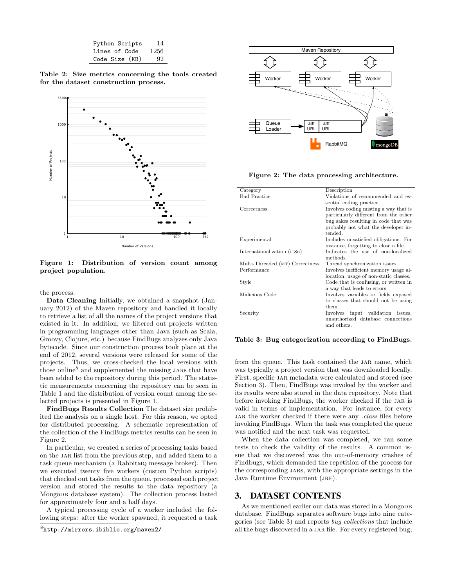| Python Scripts | 14   |
|----------------|------|
| Lines of Code  | 1256 |
| Code Size (KB) | 92   |

Table 2: Size metrics concerning the tools created for the dataset construction process.



Figure 1: Distribution of version count among project population.

the process.

Data Cleaning Initially, we obtained a snapshot (January 2012) of the Maven repository and handled it locally to retrieve a list of all the names of the project versions that existed in it. In addition, we filtered out projects written in programming languages other than Java (such as Scala, Groovy, Clojure, etc.) because FindBugs analyzes only Java bytecode. Since our construction process took place at the end of 2012, several versions were released for some of the projects. Thus, we cross-checked the local versions with those online<sup>8</sup> and supplemented the missing JARs that have been added to the repository during this period. The statistic measurements concerning the repository can be seen in Table 1 and the distribution of version count among the selected projects is presented in Figure 1.

FindBugs Results Collection The dataset size prohibited the analysis on a single host. For this reason, we opted for distributed processing. A schematic representation of the collection of the FindBugs metrics results can be seen in Figure 2.

In particular, we created a series of processing tasks based on the JAR list from the previous step, and added them to a task queue mechanism (a Rabbitmq message broker). Then we executed twenty five workers (custom Python scripts) that checked out tasks from the queue, processed each project version and stored the results to the data repository (a Mongodb database system). The collection process lasted for approximately four and a half days.

A typical processing cycle of a worker included the following steps: after the worker spawned, it requested a task



Figure 2: The data processing architecture.

| Category                        | Description                             |
|---------------------------------|-----------------------------------------|
| <b>Bad Practice</b>             | Violations of recommended and es-       |
|                                 | sential coding practice.                |
| Correctness                     | Involves coding misting a way that is   |
|                                 | particularly different from the other   |
|                                 | bug sakes resulting in code that was    |
|                                 | probably not what the developer in-     |
|                                 | tended                                  |
| Experimental                    | Includes unsatisfied obligations. For   |
|                                 | instance, forgetting to close a file.   |
| Internationalization (i18n)     | Indicates the use of non-localized      |
|                                 | methods.                                |
| Multi-Threaded (MT) Correctness | Thread synchronization issues.          |
| Performance                     | Involves inefficient memory usage al-   |
|                                 | location, usage of non-static classes.  |
| Style                           | Code that is confusing, or written in   |
|                                 | a way that leads to errors.             |
| Malicious Code                  | Involves variables or fields exposed    |
|                                 | to classes that should not be using     |
|                                 | them.                                   |
| Security                        | input validation<br>Involves<br>issues. |
|                                 | unauthorized database connections       |
|                                 | and others.                             |

Table 3: Bug categorization according to FindBugs.

from the queue. This task contained the JAR name, which was typically a project version that was downloaded locally. First, specific JAR metadata were calculated and stored (see Section 3). Then, FindBugs was invoked by the worker and its results were also stored in the data repository. Note that before invoking FindBugs, the worker checked if the jar is valid in terms of implementation. For instance, for every JAR the worker checked if there were any .class files before invoking FindBugs. When the task was completed the queue was notified and the next task was requested.

When the data collection was completed, we ran some tests to check the validity of the results. A common issue that we discovered was the out-of-memory crashes of Findbugs, which demanded the repetition of the process for the corresponding jars, with the appropriate settings in the Java Runtime Environment (JRE).

#### 3. DATASET CONTENTS

As we mentioned earlier our data was stored in a MongoDB database. FindBugs separates software bugs into nine categories (see Table 3) and reports bug collections that include all the bugs discovered in a JAR file. For every registered bug,

<sup>8</sup> http://mirrors.ibiblio.org/maven2/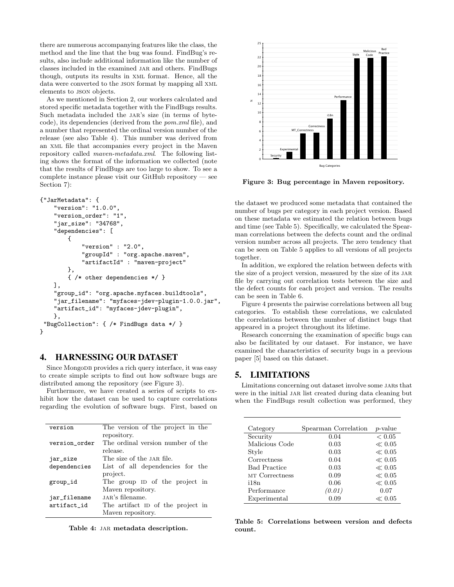there are numerous accompanying features like the class, the method and the line that the bug was found. FindBug's results, also include additional information like the number of classes included in the examined JAR and others. FindBugs though, outputs its results in xml format. Hence, all the data were converted to the JSON format by mapping all XML elements to json objects.

As we mentioned in Section 2, our workers calculated and stored specific metadata together with the FindBugs results. Such metadata included the jar's size (in terms of bytecode), its dependencies (derived from the pom.xml file), and a number that represented the ordinal version number of the release (see also Table 4). This number was derived from an xml file that accompanies every project in the Maven repository called maven-metadata.xml. The following listing shows the format of the information we collected (note that the results of FindBugs are too large to show. To see a complete instance please visit our GitHub repository — see Section 7):

```
{"JarMetadata": {
    "version": "1.0.0",
    "version_order": "1",
    "jar_size": "34768",
    "dependencies": [
        {
            "version" : "2.0",
            "groupId" : "org.apache.maven",
            "artifactId" : "maven-project"
        },
        { /* other dependencies */ }
    ],
    "group_id": "org.apache.myfaces.buildtools",
    "jar_filename": "myfaces-jdev-plugin-1.0.0.jar",
    "artifact_id": "myfaces-jdev-plugin",
    },
 "BugCollection": { /* FindBugs data */ }
}
```
#### 4. HARNESSING OUR DATASET

Since MongoDB provides a rich query interface, it was easy to create simple scripts to find out how software bugs are distributed among the repository (see Figure 3).

Furthermore, we have created a series of scripts to exhibit how the dataset can be used to capture correlations regarding the evolution of software bugs. First, based on

| version       | The version of the project in the |
|---------------|-----------------------------------|
|               |                                   |
|               | repository.                       |
| version order | The ordinal version number of the |
|               | release.                          |
|               |                                   |
| jar_size      | The size of the JAR file.         |
| dependencies  | List of all dependencies for the  |
|               |                                   |
|               | project.                          |
| group_id      | The group ID of the project in    |
|               |                                   |
|               | Mayon repository.                 |
| jar_filename  | JAR's filename.                   |
| artifact id   | The artifact ID of the project in |
|               |                                   |
|               | Mayon repository.                 |
|               |                                   |

Table 4: JAR metadata description.



Figure 3: Bug percentage in Maven repository.

the dataset we produced some metadata that contained the number of bugs per category in each project version. Based on these metadata we estimated the relation between bugs and time (see Table 5). Specifically, we calculated the Spearman correlations between the defects count and the ordinal version number across all projects. The zero tendency that can be seen on Table 5 applies to all versions of all projects together.

In addition, we explored the relation between defects with the size of a project version, measured by the size of its JAR file by carrying out correlation tests between the size and the defect counts for each project and version. The results can be seen in Table 6.

Figure 4 presents the pairwise correlations between all bug categories. To establish these correlations, we calculated the correlations between the number of distinct bugs that appeared in a project throughout its lifetime.

Research concerning the examination of specific bugs can also be facilitated by our dataset. For instance, we have examined the characteristics of security bugs in a previous paper [5] based on this dataset.

#### 5. LIMITATIONS

Limitations concerning out dataset involve some jars that were in the initial JAR list created during data cleaning but when the FindBugs result collection was performed, they

| Category            | Spearman Correlation | <i>p</i> -value |
|---------------------|----------------------|-----------------|
| Security            | 0.04                 | ${}< 0.05$      |
| Malicious Code      | 0.03                 | $\ll 0.05$      |
| Style               | 0.03                 | $\ll 0.05$      |
| Correctness         | 0.04                 | $\ll 0.05$      |
| <b>Bad Practice</b> | 0.03                 | $\ll 0.05$      |
| MT Correctness      | 0.09                 | $\ll 0.05$      |
| i18n                | 0.06                 | $\ll 0.05$      |
| Performance         | (0.01)               | 0.07            |
| Experimental        | 0.09                 | $\ll 0.05$      |

Table 5: Correlations between version and defects count.